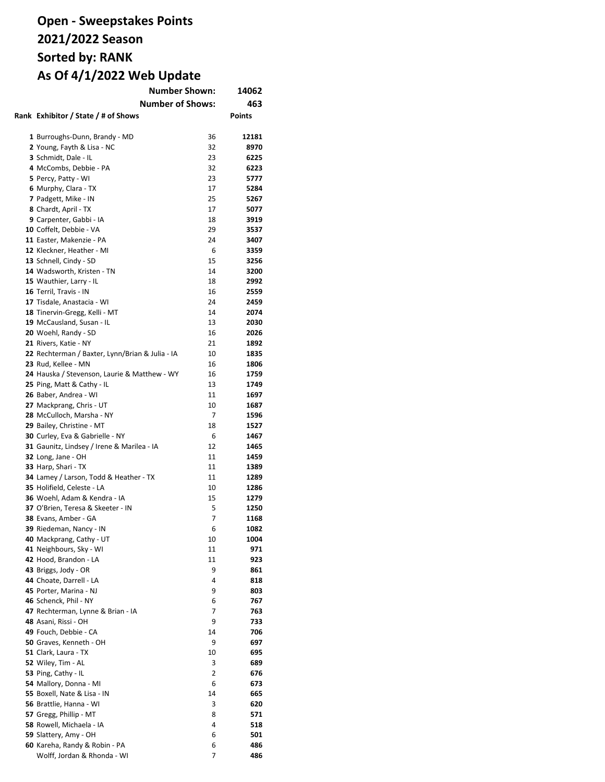# **Open - Sweepstakes Points 2021/2022 Season Sorted by: RANK As Of 4/1/2022 Web Update**

| <b>Number Shown:</b>                            |    | 14062         |
|-------------------------------------------------|----|---------------|
| <b>Number of Shows:</b>                         |    | 463           |
| Rank Exhibitor / State / # of Shows             |    | <b>Points</b> |
|                                                 |    |               |
| 1 Burroughs-Dunn, Brandy - MD                   | 36 | 12181         |
| 2 Young, Fayth & Lisa - NC                      | 32 | 8970          |
| 3 Schmidt, Dale - IL                            | 23 | 6225          |
| 4 McCombs, Debbie - PA                          | 32 | 6223          |
| 5 Percy, Patty - WI                             | 23 | 5777          |
| 6 Murphy, Clara - TX                            | 17 | 5284          |
| 7 Padgett, Mike - IN                            | 25 | 5267          |
|                                                 | 17 | 5077          |
| 8 Chardt, April - TX                            |    |               |
| 9 Carpenter, Gabbi - IA                         | 18 | 3919          |
| 10 Coffelt, Debbie - VA                         | 29 | 3537          |
| 11 Easter, Makenzie - PA                        | 24 | 3407          |
| 12 Kleckner, Heather - MI                       | 6  | 3359          |
| 13 Schnell, Cindy - SD                          | 15 | 3256          |
| 14 Wadsworth, Kristen - TN                      | 14 | 3200          |
| 15 Wauthier, Larry - IL                         | 18 | 2992          |
| 16 Terril, Travis - IN                          | 16 | 2559          |
| 17 Tisdale, Anastacia - WI                      | 24 | 2459          |
| 18 Tinervin-Gregg, Kelli - MT                   | 14 | 2074          |
| 19 McCausland, Susan - IL                       | 13 | 2030          |
| 20 Woehl, Randy - SD                            | 16 | 2026          |
| 21 Rivers, Katie - NY                           | 21 | 1892          |
| 22 Rechterman / Baxter, Lynn/Brian & Julia - IA | 10 | 1835          |
| 23 Rud, Kellee - MN                             | 16 | 1806          |
| 24 Hauska / Stevenson, Laurie & Matthew - WY    | 16 | 1759          |
| 25 Ping, Matt & Cathy - IL                      | 13 | 1749          |
| 26 Baber, Andrea - WI                           | 11 | 1697          |
| 27 Mackprang, Chris - UT                        | 10 | 1687          |
| 28 McCulloch, Marsha - NY                       | 7  | 1596          |
| 29 Bailey, Christine - MT                       | 18 | 1527          |
| 30 Curley, Eva & Gabrielle - NY                 | 6  | 1467          |
| 31 Gaunitz, Lindsey / Irene & Marilea - IA      | 12 | 1465          |
| 32 Long, Jane - OH                              | 11 | 1459          |
| 33 Harp, Shari - TX                             | 11 | 1389          |
| 34 Lamey / Larson, Todd & Heather - TX          | 11 | 1289          |
| 35 Holifield, Celeste - LA                      | 10 | 1286          |
| 36 Woehl, Adam & Kendra - IA                    | 15 | 1279          |
| 37 O'Brien, Teresa & Skeeter - IN               | 5  | 1250          |
| 38 Evans, Amber - GA                            | 7  | 1168          |
| 39 Riedeman, Nancy - IN                         | 6  | 1082          |
| 40 Mackprang, Cathy - UT                        | 10 | 1004          |
| 41 Neighbours, Sky - WI                         | 11 | 971           |
| 42 Hood, Brandon - LA                           | 11 | 923           |
| 43 Briggs, Jody - OR                            | 9  | 861           |
| 44 Choate, Darrell - LA                         | 4  | 818           |
| 45 Porter, Marina - NJ                          | 9  | 803           |
| 46 Schenck, Phil - NY                           | 6  | 767           |
| 47 Rechterman, Lynne & Brian - IA               | 7  | 763           |
|                                                 | 9  | 733           |
| 48 Asani, Rissi - OH                            |    |               |
| 49 Fouch, Debbie - CA                           | 14 | 706           |
| 50 Graves, Kenneth - OH                         | 9  | 697           |
| 51 Clark, Laura - TX                            | 10 | 695           |
| 52 Wiley, Tim - AL                              | 3  | 689           |
| 53 Ping, Cathy - IL                             | 2  | 676           |
| 54 Mallory, Donna - MI                          | 6  | 673           |
| 55 Boxell, Nate & Lisa - IN                     | 14 | 665           |
| 56 Brattlie, Hanna - WI                         | 3  | 620           |
| 57 Gregg, Phillip - MT                          | 8  | 571           |
| 58 Rowell, Michaela - IA                        | 4  | 518           |
| 59 Slattery, Amy - OH                           | 6  | 501           |
| 60 Kareha, Randy & Robin - PA                   | 6  | 486           |
| Wolff, Jordan & Rhonda - WI                     | 7  | 486           |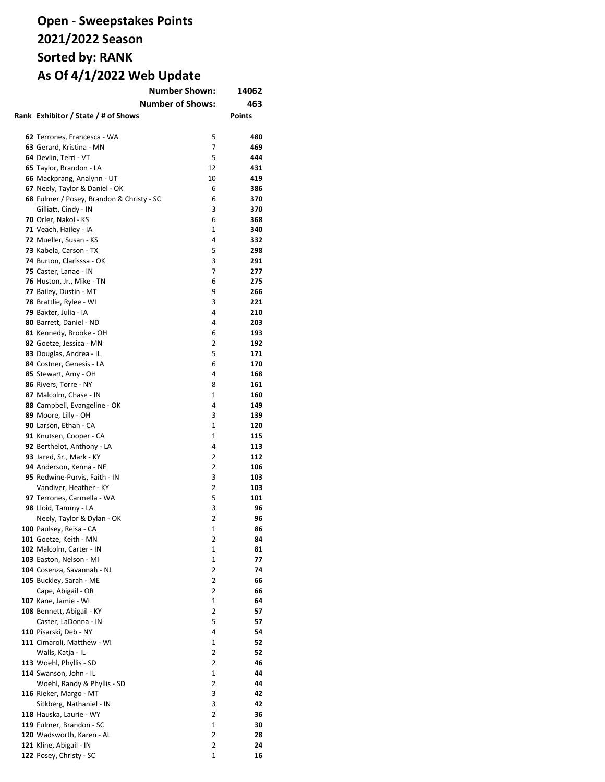# **Open - Sweepstakes Points 2021/2022 Season Sorted by: RANK As Of 4/1/2022 Web Update**

| <b>Number Shown:</b>                      |              | 14062         |
|-------------------------------------------|--------------|---------------|
| <b>Number of Shows:</b>                   |              | 463           |
| Rank Exhibitor / State / # of Shows       |              | <b>Points</b> |
|                                           |              |               |
| 62 Terrones, Francesca - WA               | 5            | 480           |
| 63 Gerard, Kristina - MN                  | 7            | 469           |
| 64 Devlin, Terri - VT                     | 5            | 444           |
| 65 Taylor, Brandon - LA                   | 12           | 431           |
| 66 Mackprang, Analynn - UT                | 10           | 419           |
| 67 Neely, Taylor & Daniel - OK            | 6            | 386           |
| 68 Fulmer / Posey, Brandon & Christy - SC | 6            | 370           |
| Gilliatt, Cindy - IN                      | 3            | 370           |
| 70 Orler, Nakol - KS                      | 6            | 368           |
| 71 Veach, Hailey - IA                     | 1            | 340           |
| 72 Mueller, Susan - KS                    | 4            | 332           |
| 73 Kabela, Carson - TX                    | 5            | 298           |
| 74 Burton, Clarisssa - OK                 | 3            | 291           |
| 75 Caster, Lanae - IN                     | 7            | 277           |
| 76 Huston, Jr., Mike - TN                 | 6            | 275           |
| 77 Bailey, Dustin - MT                    | 9            | 266           |
| 78 Brattlie, Rylee - WI                   | 3            | 221           |
| 79 Baxter, Julia - IA                     | 4            | 210           |
| 80 Barrett, Daniel - ND                   | 4            | 203           |
| 81 Kennedy, Brooke - OH                   | 6            | 193           |
| 82 Goetze, Jessica - MN                   | 2            | 192           |
| 83 Douglas, Andrea - IL                   | 5            | 171           |
| 84 Costner, Genesis - LA                  | 6            | 170           |
| 85 Stewart, Amy - OH                      | 4            | 168           |
| 86 Rivers, Torre - NY                     | 8            | 161           |
| 87 Malcolm, Chase - IN                    | 1            | 160           |
| 88 Campbell, Evangeline - OK              | 4            | 149           |
| 89 Moore, Lilly - OH                      | 3            | 139           |
| 90 Larson, Ethan - CA                     | $\mathbf{1}$ | 120           |
| 91 Knutsen, Cooper - CA                   | $\mathbf{1}$ | 115           |
| 92 Berthelot, Anthony - LA                | 4            | 113           |
| 93 Jared, Sr., Mark - KY                  | 2            | 112           |
| 94 Anderson, Kenna - NE                   | 2            | 106           |
| 95 Redwine-Purvis, Faith - IN             | 3            | 103           |
| Vandiver, Heather - KY                    | 2            | 103           |
| 97 Terrones, Carmella - WA                | 5            | 101           |
| 98 Lloid, Tammy - LA                      | 3            | 96            |
| Neely, Taylor & Dylan - OK                | 2            | 96            |
| 100 Paulsey, Reisa - CA                   | 1            | 86            |
| <b>101</b> Goetze, Keith - MN             | 2            | 84            |
| 102 Malcolm, Carter - IN                  | 1            | 81            |
| 103 Easton, Nelson - MI                   | 1            | 77            |
| 104 Cosenza, Savannah - NJ                | 2            | 74            |
| 105 Buckley, Sarah - ME                   | 2            | 66            |
| Cape, Abigail - OR                        | 2            | 66            |
| 107 Kane, Jamie - WI                      | 1            | 64            |
| 108 Bennett, Abigail - KY                 | 2            | 57            |
| Caster, LaDonna - IN                      | 5            | 57            |
| 110 Pisarski, Deb - NY                    | 4            | 54            |
| 111 Cimaroli, Matthew - WI                | 1            | 52            |
| Walls, Katja - IL                         | 2            | 52            |
| 113 Woehl, Phyllis - SD                   | 2            | 46            |
| 114 Swanson, John - IL                    | 1            | 44            |
| Woehl, Randy & Phyllis - SD               | 2            | 44            |
| 116 Rieker, Margo - MT                    | 3            | 42            |
| Sitkberg, Nathaniel - IN                  | 3            | 42            |
| 118 Hauska, Laurie - WY                   | 2            | 36            |
| 119 Fulmer, Brandon - SC                  | 1            | 30            |
| 120 Wadsworth, Karen - AL                 | 2            | 28            |
| 121 Kline, Abigail - IN                   | 2            | 24            |
| 122 Posey, Christy - SC                   | 1            | 16            |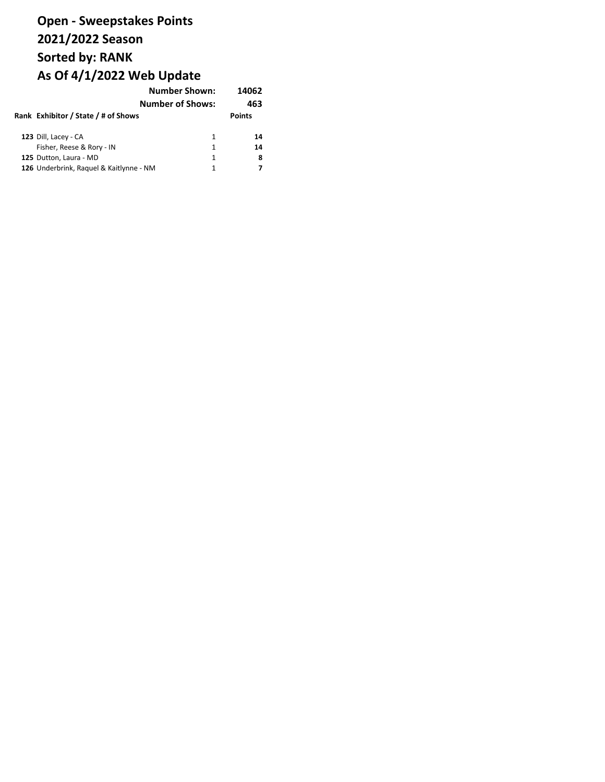#### **Open - Sweepstakes Points 2021/2022 Season Sorted by: RANK As Of 4/1/2022 Web Update Number Shown: 14062**

|  |                                         | ivumber Snown:          | 1400Z         |  |
|--|-----------------------------------------|-------------------------|---------------|--|
|  |                                         | <b>Number of Shows:</b> | 463           |  |
|  | Rank Exhibitor / State / # of Shows     |                         | <b>Points</b> |  |
|  | 123 Dill, Lacey - CA                    | 1                       | 14            |  |
|  | Fisher, Reese & Rory - IN               | 1                       | 14            |  |
|  | 125 Dutton, Laura - MD                  | 1                       | 8             |  |
|  |                                         |                         |               |  |
|  | 126 Underbrink, Raguel & Kaitlynne - NM | 1                       |               |  |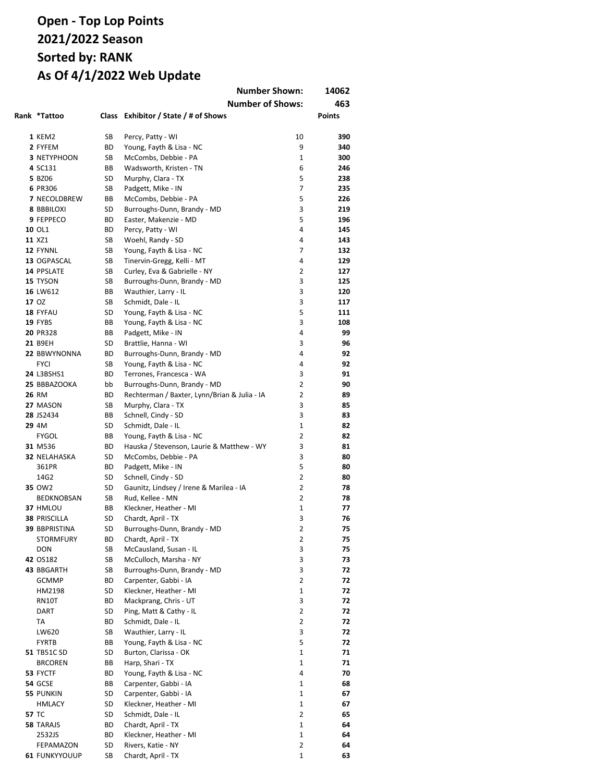|                                          |           | <b>Number Shown:</b>                                  |                | 14062         |
|------------------------------------------|-----------|-------------------------------------------------------|----------------|---------------|
|                                          |           | <b>Number of Shows:</b>                               |                | 463           |
| Rank *Tattoo                             |           | Class Exhibitor / State / # of Shows                  |                | <b>Points</b> |
|                                          |           |                                                       |                |               |
| 1 KEM2                                   | SB        | Percy, Patty - WI                                     | 10             | 390           |
| 2 FYFEM                                  | <b>BD</b> | Young, Fayth & Lisa - NC                              | 9              | 340           |
| <b>3 NETYPHOON</b>                       | SB        | McCombs, Debbie - PA                                  | 1              | 300           |
| 4 SC131                                  | BB        | Wadsworth, Kristen - TN                               | 6              | 246           |
| 5 BZ06                                   | SD        | Murphy, Clara - TX                                    | 5              | 238           |
| 6 PR306                                  | SB        | Padgett, Mike - IN                                    | 7<br>5         | 235           |
| <b>7 NECOLDBREW</b><br><b>8 BBBILOXI</b> | BB<br>SD  | McCombs, Debbie - PA<br>Burroughs-Dunn, Brandy - MD   | 3              | 226<br>219    |
| 9 FEPPECO                                | <b>BD</b> | Easter, Makenzie - MD                                 | 5              | 196           |
| 10 OL1                                   | <b>BD</b> | Percy, Patty - WI                                     | 4              | 145           |
| 11 XZ1                                   | SB        | Woehl, Randy - SD                                     | 4              | 143           |
| 12 FYNNL                                 | SB        | Young, Fayth & Lisa - NC                              | 7              | 132           |
| 13 OGPASCAL                              | SB        | Tinervin-Gregg, Kelli - MT                            | 4              | 129           |
| 14 PPSLATE                               | SB        | Curley, Eva & Gabrielle - NY                          | 2              | 127           |
| 15 TYSON                                 | SB        | Burroughs-Dunn, Brandy - MD                           | 3              | 125           |
| 16 LW612                                 | ВB        | Wauthier, Larry - IL                                  | 3              | 120           |
| 17 OZ                                    | SB        | Schmidt, Dale - IL                                    | 3              | 117           |
| 18 FYFAU                                 | SD        | Young, Fayth & Lisa - NC                              | 5              | 111           |
| 19 FYBS                                  | ВB        | Young, Fayth & Lisa - NC                              | 3              | 108           |
| 20 PR328                                 | BВ        | Padgett, Mike - IN                                    | 4              | 99            |
| 21 B9EH                                  | SD        | Brattlie, Hanna - WI                                  | 3              | 96            |
| 22 BBWYNONNA                             | ВD        | Burroughs-Dunn, Brandy - MD                           | 4              | 92            |
| <b>FYCI</b>                              | SB        | Young, Fayth & Lisa - NC                              | 4              | 92            |
| 24 L3BSHS1                               | ВD        | Terrones, Francesca - WA                              | 3              | 91            |
| 25 BBBAZOOKA                             | bb        | Burroughs-Dunn, Brandy - MD                           | $\overline{2}$ | 90            |
| <b>26 RM</b>                             | ВD        | Rechterman / Baxter, Lynn/Brian & Julia - IA          | $\overline{2}$ | 89            |
| 27 MASON                                 | SB        | Murphy, Clara - TX                                    | 3              | 85            |
| 28 JS2434                                | ВB        | Schnell, Cindy - SD                                   | 3              | 83            |
| 29 4M                                    | SD.       | Schmidt, Dale - IL                                    | $\mathbf{1}$   | 82            |
| <b>FYGOL</b>                             | ВB        | Young, Fayth & Lisa - NC                              | $\overline{2}$ | 82            |
| 31 M536                                  | <b>BD</b> | Hauska / Stevenson, Laurie & Matthew - WY             | 3              | 81            |
| <b>32 NELAHASKA</b>                      | SD        | McCombs, Debbie - PA                                  | 3              | 80            |
| 361PR                                    | ВD        | Padgett, Mike - IN                                    | 5              | 80            |
| 14G2                                     | SD        | Schnell, Cindy - SD                                   | 2              | 80            |
| 35 OW2                                   | SD        | Gaunitz, Lindsey / Irene & Marilea - IA               | 2              | 78            |
| BEDKNOBSAN                               | SB        | Rud, Kellee - MN                                      | 2              | 78            |
| 37 HMLOU                                 | BB        | Kleckner, Heather - MI                                | 1              | 77            |
| <b>38 PRISCILLA</b>                      | SD        | Chardt, April - TX                                    | 3              | 76            |
| 39 BBPRISTINA                            | SD        | Burroughs-Dunn, Brandy - MD                           | 2              | 75            |
| <b>STORMFURY</b>                         | ВD        | Chardt, April - TX                                    | 2              | 75            |
| <b>DON</b>                               | SB        | McCausland, Susan - IL                                | 3<br>3         | 75            |
| 42 OS182<br>43 BBGARTH                   | SB<br>SB  | McCulloch, Marsha - NY<br>Burroughs-Dunn, Brandy - MD | 3              | 73            |
| <b>GCMMP</b>                             | BD        | Carpenter, Gabbi - IA                                 | $\overline{2}$ | 72<br>72      |
| HM2198                                   | SD        | Kleckner, Heather - MI                                | 1              | 72            |
| RN10T                                    | ВD        | Mackprang, Chris - UT                                 | 3              | 72            |
| DART                                     | SD        | Ping, Matt & Cathy - IL                               | $\overline{2}$ | 72            |
| TA                                       | ВD        | Schmidt, Dale - IL                                    | $\overline{2}$ | 72            |
| LW620                                    | SB        | Wauthier, Larry - IL                                  | 3              | 72            |
| <b>FYRTB</b>                             | ВB        | Young, Fayth & Lisa - NC                              | 5              | 72            |
| 51 TB51C SD                              | SD        | Burton, Clarissa - OK                                 | 1              | 71            |
| <b>BRCOREN</b>                           | ВB        | Harp, Shari - TX                                      | 1              | 71            |
| 53 FYCTF                                 | ВD        | Young, Fayth & Lisa - NC                              | 4              | 70            |
| <b>54 GCSE</b>                           | ВB        | Carpenter, Gabbi - IA                                 | 1              | 68            |
| 55 PUNKIN                                | SD        | Carpenter, Gabbi - IA                                 | 1              | 67            |
| HMLACY                                   | SD        | Kleckner, Heather - MI                                | 1              | 67            |
| 57 TC                                    | SD        | Schmidt, Dale - IL                                    | $\overline{2}$ | 65            |
| 58 TARAJS                                | ВD        | Chardt, April - TX                                    | 1              | 64            |
| 2532JS                                   | ВD        | Kleckner, Heather - MI                                | $\mathbf 1$    | 64            |
| FEPAMAZON                                | SD        | Rivers, Katie - NY                                    | $\overline{2}$ | 64            |
| <b>61 FUNKYYOUUP</b>                     | SB        | Chardt, April - TX                                    | $\mathbf 1$    | 63            |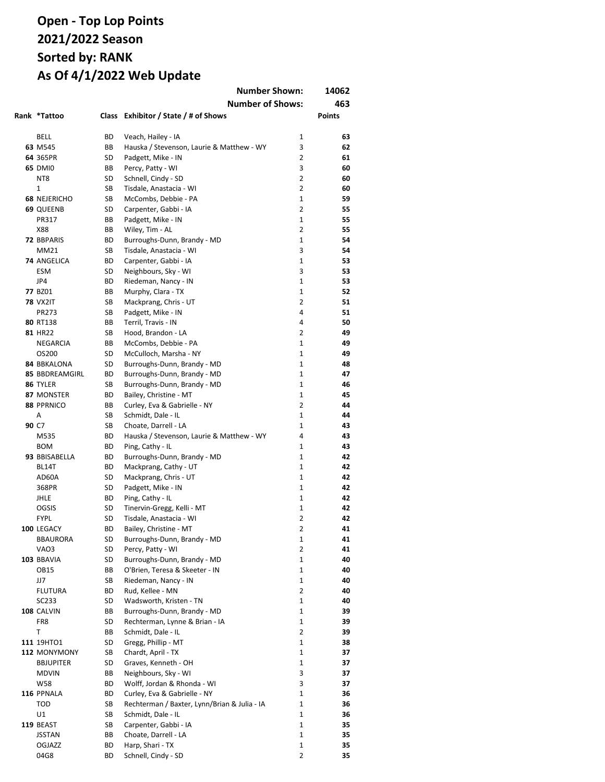|  |                           | <b>Number Shown:</b><br><b>Number of Shows:</b> |                                                        |                | 14062<br>463  |  |
|--|---------------------------|-------------------------------------------------|--------------------------------------------------------|----------------|---------------|--|
|  | Rank *Tattoo              |                                                 | Class Exhibitor / State / # of Shows                   |                | <b>Points</b> |  |
|  | <b>BELL</b>               | ВD                                              | Veach, Hailey - IA                                     | 1              | 63            |  |
|  | 63 M545                   | BB                                              | Hauska / Stevenson, Laurie & Matthew - WY              | 3              | 62            |  |
|  | 64 365PR                  | SD                                              | Padgett, Mike - IN                                     | 2              | 61            |  |
|  | <b>65 DMI0</b>            | ВB                                              | Percy, Patty - WI                                      | 3              | 60            |  |
|  | NT8                       | SD                                              | Schnell, Cindy - SD                                    | 2              | 60            |  |
|  | 1                         | SB                                              | Tisdale, Anastacia - WI                                | $\overline{2}$ | 60            |  |
|  | <b>68 NEJERICHO</b>       | SB                                              | McCombs, Debbie - PA                                   | $\mathbf{1}$   | 59            |  |
|  |                           | SD                                              |                                                        | 2              | 55            |  |
|  | <b>69 QUEENB</b><br>PR317 | ВB                                              | Carpenter, Gabbi - IA<br>Padgett, Mike - IN            | $\mathbf{1}$   | 55            |  |
|  | X88                       | ВB                                              | Wiley, Tim - AL                                        | $\overline{2}$ | 55            |  |
|  | 72 BBPARIS                | BD                                              |                                                        | $\mathbf{1}$   | 54            |  |
|  | MM21                      | SB                                              | Burroughs-Dunn, Brandy - MD<br>Tisdale, Anastacia - WI | 3              | 54            |  |
|  | 74 ANGELICA               | BD                                              | Carpenter, Gabbi - IA                                  | $\mathbf{1}$   | 53            |  |
|  | <b>ESM</b>                | SD                                              | Neighbours, Sky - WI                                   | 3              | 53            |  |
|  | JP4                       | ВD                                              | Riedeman, Nancy - IN                                   | 1              | 53            |  |
|  | 77 BZ01                   | BВ                                              | Murphy, Clara - TX                                     | 1              | 52            |  |
|  |                           | SB                                              |                                                        | 2              | 51            |  |
|  | <b>78 VX2IT</b>           |                                                 | Mackprang, Chris - UT                                  |                |               |  |
|  | PR273                     | SB                                              | Padgett, Mike - IN                                     | 4              | 51            |  |
|  | 80 RT138                  | ВB                                              | Terril, Travis - IN                                    | 4              | 50            |  |
|  | 81 HR22                   | SB                                              | Hood, Brandon - LA                                     | 2              | 49            |  |
|  | <b>NEGARCIA</b>           | ВB                                              | McCombs, Debbie - PA                                   | 1              | 49            |  |
|  | OS200                     | SD                                              | McCulloch, Marsha - NY                                 | 1              | 49            |  |
|  | <b>84 BBKALONA</b>        | SD                                              | Burroughs-Dunn, Brandy - MD                            | 1              | 48            |  |
|  | <b>85 BBDREAMGIRL</b>     | ВD                                              | Burroughs-Dunn, Brandy - MD                            | $\mathbf{1}$   | 47            |  |
|  | 86 TYLER                  | SB                                              | Burroughs-Dunn, Brandy - MD                            | 1              | 46            |  |
|  | 87 MONSTER                | ВD                                              | Bailey, Christine - MT                                 | $\mathbf{1}$   | 45            |  |
|  | 88 PPRNICO                | ВB                                              | Curley, Eva & Gabrielle - NY                           | 2              | 44            |  |
|  | Α                         | SB                                              | Schmidt, Dale - IL                                     | $\mathbf{1}$   | 44            |  |
|  | 90 C7                     | SB                                              | Choate, Darrell - LA                                   | $\mathbf{1}$   | 43            |  |
|  | M535                      | ВD                                              | Hauska / Stevenson, Laurie & Matthew - WY              | 4              | 43            |  |
|  | <b>BOM</b>                | ВD                                              | Ping, Cathy - IL                                       | 1              | 43            |  |
|  | 93 BBISABELLA             | ВD                                              | Burroughs-Dunn, Brandy - MD                            | 1              | 42            |  |
|  | BL14T                     | BD                                              | Mackprang, Cathy - UT                                  | $\mathbf{1}$   | 42            |  |
|  | AD60A                     | SD                                              | Mackprang, Chris - UT                                  | $\mathbf{1}$   | 42            |  |
|  | 368PR                     | SD                                              | Padgett, Mike - IN                                     | $\mathbf{1}$   | 42            |  |
|  | <b>JHLE</b>               | BD                                              | Ping, Cathy - IL                                       | $\mathbf{1}$   | 42            |  |
|  | <b>OGSIS</b>              | SD                                              | Tinervin-Gregg, Kelli - MT                             | 1              | 42            |  |
|  | <b>FYPL</b>               | SD                                              | Tisdale, Anastacia - WI                                | $\overline{2}$ | 42            |  |
|  | <b>100 LEGACY</b>         | ВD                                              | Bailey, Christine - MT                                 | 2              | 41            |  |
|  | <b>BBAURORA</b>           | SD                                              | Burroughs-Dunn, Brandy - MD                            | 1              | 41            |  |
|  | VAO3                      | SD                                              | Percy, Patty - WI                                      | 2              | 41            |  |
|  | 103 BBAVIA                | SD                                              | Burroughs-Dunn, Brandy - MD                            | 1              | 40            |  |
|  | <b>OB15</b>               | ВB                                              | O'Brien, Teresa & Skeeter - IN                         | 1              | 40            |  |
|  | JJ7                       | SB                                              | Riedeman, Nancy - IN                                   | 1              | 40            |  |
|  | <b>FLUTURA</b>            | ВD                                              | Rud. Kellee - MN                                       | 2              | 40            |  |
|  | SC233                     | SD                                              | Wadsworth, Kristen - TN                                | 1              | 40            |  |
|  | 108 CALVIN                | ВB                                              | Burroughs-Dunn, Brandy - MD                            | 1              | 39            |  |
|  | FR8                       | SD                                              | Rechterman, Lynne & Brian - IA                         | 1              | 39            |  |
|  | T                         | ВB                                              | Schmidt, Dale - IL                                     | $\overline{2}$ | 39            |  |
|  | 111 19HTO1                | SD                                              | Gregg, Phillip - MT                                    | 1              | 38            |  |
|  | 112 MONYMONY              | SB                                              | Chardt, April - TX                                     | 1              | 37            |  |
|  | <b>BBJUPITER</b>          | SD                                              | Graves, Kenneth - OH                                   | 1              | 37            |  |
|  | <b>MDVIN</b>              | ВB                                              | Neighbours, Sky - WI                                   | 3              | 37            |  |
|  | W58                       | ВD                                              | Wolff, Jordan & Rhonda - WI                            | 3              | 37            |  |
|  | 116 PPNALA                | ВD                                              | Curley, Eva & Gabrielle - NY                           | 1              | 36            |  |
|  | <b>TOD</b>                | SB                                              | Rechterman / Baxter, Lynn/Brian & Julia - IA           | 1              | 36            |  |
|  | U1                        | SB                                              | Schmidt, Dale - IL                                     | 1              | 36            |  |
|  | 119 BEAST                 | SB                                              | Carpenter, Gabbi - IA                                  | 1              | 35            |  |
|  | <b>JSSTAN</b>             | ВB                                              | Choate, Darrell - LA                                   | 1              | 35            |  |
|  | OGJAZZ                    | BD                                              | Harp, Shari - TX                                       | 1              | 35            |  |
|  | 04G8                      | BD                                              | Schnell, Cindy - SD                                    | $\overline{2}$ | 35            |  |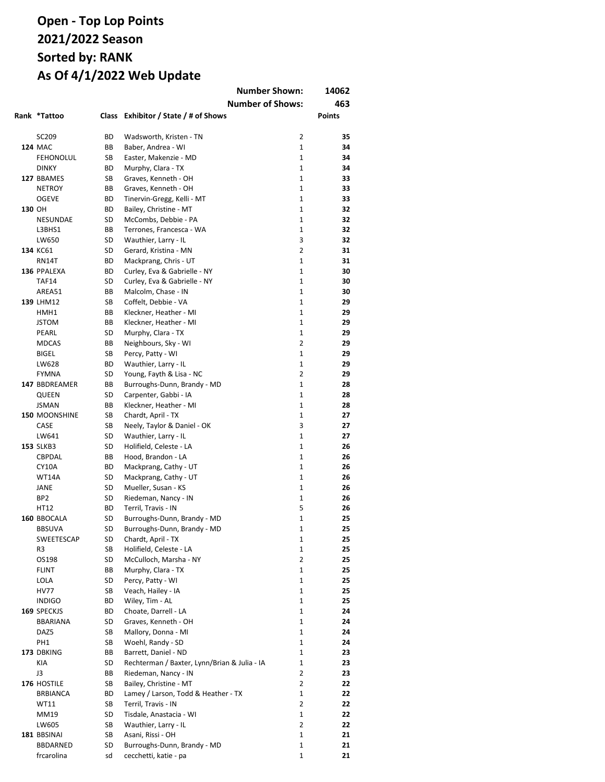|        |                      |          |                                                                      | <b>Number Shown:</b>         | 14062         |
|--------|----------------------|----------|----------------------------------------------------------------------|------------------------------|---------------|
|        |                      |          |                                                                      | <b>Number of Shows:</b>      | 463           |
|        | Rank *Tattoo         |          | Class Exhibitor / State / # of Shows                                 |                              | <b>Points</b> |
|        |                      |          |                                                                      |                              |               |
|        | SC209                | ВD       | Wadsworth, Kristen - TN                                              | $\overline{2}$               | 35            |
|        | <b>124 MAC</b>       | BB       | Baber, Andrea - WI                                                   | $\mathbf{1}$                 | 34            |
|        | <b>FEHONOLUL</b>     | SB       | Easter, Makenzie - MD                                                | $\mathbf{1}$                 | 34            |
|        | <b>DINKY</b>         | ВD       | Murphy, Clara - TX                                                   | $\mathbf{1}$                 | 34            |
|        | 127 BBAMES           | SB       | Graves, Kenneth - OH                                                 | $\mathbf{1}$                 | 33            |
|        | <b>NETROY</b>        | BB       | Graves, Kenneth - OH                                                 | $\mathbf{1}$                 | 33            |
|        | <b>OGEVE</b>         | ВD       | Tinervin-Gregg, Kelli - MT                                           | $\mathbf{1}$                 | 33            |
| 130 OH |                      | ВD       | Bailey, Christine - MT                                               | $\mathbf{1}$<br>$\mathbf{1}$ | 32            |
|        | NESUNDAE<br>L3BHS1   | SD<br>ВB | McCombs, Debbie - PA                                                 | $\mathbf{1}$                 | 32<br>32      |
|        | LW650                | SD       | Terrones, Francesca - WA<br>Wauthier, Larry - IL                     | 3                            | 32            |
|        | 134 KC61             | SD       | Gerard, Kristina - MN                                                | $\overline{2}$               | 31            |
|        | <b>RN14T</b>         | ВD       | Mackprang, Chris - UT                                                | $\mathbf{1}$                 | 31            |
|        | 136 PPALEXA          | ВD       | Curley, Eva & Gabrielle - NY                                         | $\mathbf{1}$                 | 30            |
|        | <b>TAF14</b>         | SD       | Curley, Eva & Gabrielle - NY                                         | $\mathbf{1}$                 | 30            |
|        | AREA51               | ВB       | Malcolm, Chase - IN                                                  | $\mathbf{1}$                 | 30            |
|        | 139 LHM12            | SB       | Coffelt, Debbie - VA                                                 | $\mathbf{1}$                 | 29            |
|        | HMH1                 | ВB       | Kleckner, Heather - MI                                               | $\mathbf{1}$                 | 29            |
|        | <b>JSTOM</b>         | ВB       | Kleckner, Heather - MI                                               | $\mathbf{1}$                 | 29            |
|        | PEARL                | SD       | Murphy, Clara - TX                                                   | $\mathbf{1}$                 | 29            |
|        | <b>MDCAS</b>         | ВB       | Neighbours, Sky - WI                                                 | 2                            | 29            |
|        | <b>BIGEL</b>         | SB       | Percy, Patty - WI                                                    | 1                            | 29            |
|        | LW628                | ВD       | Wauthier, Larry - IL                                                 | $\mathbf{1}$                 | 29            |
|        | <b>FYMNA</b>         | SD       | Young, Fayth & Lisa - NC                                             | 2                            | 29            |
|        | 147 BBDREAMER        | ВB       | Burroughs-Dunn, Brandy - MD                                          | $\mathbf{1}$                 | 28            |
|        | QUEEN                | SD       | Carpenter, Gabbi - IA                                                | $\mathbf{1}$                 | 28            |
|        | <b>JSMAN</b>         | ВB       | Kleckner, Heather - MI                                               | $\mathbf{1}$                 | 28            |
|        | <b>150 MOONSHINE</b> | SB       | Chardt, April - TX                                                   | $\mathbf{1}$                 | 27            |
|        | CASE                 | SB       | Neely, Taylor & Daniel - OK                                          | 3                            | 27            |
|        | LW641                | SD       | Wauthier, Larry - IL                                                 | $\mathbf{1}$                 | 27            |
|        | <b>153 SLKB3</b>     | SD       | Holifield, Celeste - LA                                              | $\mathbf{1}$<br>$\mathbf{1}$ | 26            |
|        | CBPDAL<br>CY10A      | ВB<br>ВD | Hood, Brandon - LA<br>Mackprang, Cathy - UT                          | $\mathbf{1}$                 | 26<br>26      |
|        | WT14A                | SD       | Mackprang, Cathy - UT                                                | $\mathbf{1}$                 | 26            |
|        | JANE                 | SD       | Mueller, Susan - KS                                                  | $\mathbf{1}$                 | 26            |
|        | BP <sub>2</sub>      | SD       | Riedeman, Nancy - IN                                                 | $\mathbf{1}$                 | 26            |
|        | HT12                 | ВD       | Terril, Travis - IN                                                  | 5                            | 26            |
|        | 160 BBOCALA          | SD       | Burroughs-Dunn, Brandy - MD                                          | $\mathbf{1}$                 | 25            |
|        | <b>BBSUVA</b>        | SD       | Burroughs-Dunn, Brandy - MD                                          | 1                            | 25            |
|        | SWEETESCAP           | SD       | Chardt, April - TX                                                   | 1                            | 25            |
|        | R3                   | SB       | Holifield, Celeste - LA                                              | 1                            | 25            |
|        | OS198                | SD       | McCulloch, Marsha - NY                                               | $\overline{2}$               | 25            |
|        | FLINT                | ВB       | Murphy, Clara - TX                                                   | 1                            | 25            |
|        | LOLA                 | SD       | Percy, Patty - WI                                                    | 1                            | 25            |
|        | <b>HV77</b>          | SB       | Veach, Hailey - IA                                                   | 1                            | 25            |
|        | <b>INDIGO</b>        | ВD       | Wiley, Tim - AL                                                      | 1                            | 25            |
|        | 169 SPECKJS          | ВD       | Choate, Darrell - LA                                                 | 1                            | 24            |
|        | <b>BBARIANA</b>      | SD       | Graves, Kenneth - OH                                                 | 1                            | 24            |
|        | DAZ5                 | SB       | Mallory, Donna - MI                                                  | 1                            | 24            |
|        | PH1                  | SB       | Woehl, Randy - SD                                                    | 1                            | 24            |
|        | 173 DBKING<br>KIA    | ВB       | Barrett, Daniel - ND                                                 | 1<br>1                       | 23            |
|        | J3                   | SD<br>ВB | Rechterman / Baxter, Lynn/Brian & Julia - IA<br>Riedeman, Nancy - IN | 2                            | 23<br>23      |
|        | 176 HOSTILE          | SB       | Bailey, Christine - MT                                               | 2                            | 22            |
|        | <b>BRBIANCA</b>      | ВD       | Lamey / Larson, Todd & Heather - TX                                  | $\mathbf{1}$                 | 22            |
|        | WT11                 | SB       | Terril, Travis - IN                                                  | $\overline{2}$               | 22            |
|        | MM19                 | SD       | Tisdale, Anastacia - WI                                              | 1                            | 22            |
|        | LW605                | SB       | Wauthier, Larry - IL                                                 | $\overline{2}$               | 22            |
|        | 181 BBSINAI          | SB       | Asani, Rissi - OH                                                    | $\mathbf{1}$                 | 21            |
|        | <b>BBDARNED</b>      | SD       | Burroughs-Dunn, Brandy - MD                                          | 1                            | 21            |
|        | frcarolina           | sd       | cecchetti, katie - pa                                                | 1                            | 21            |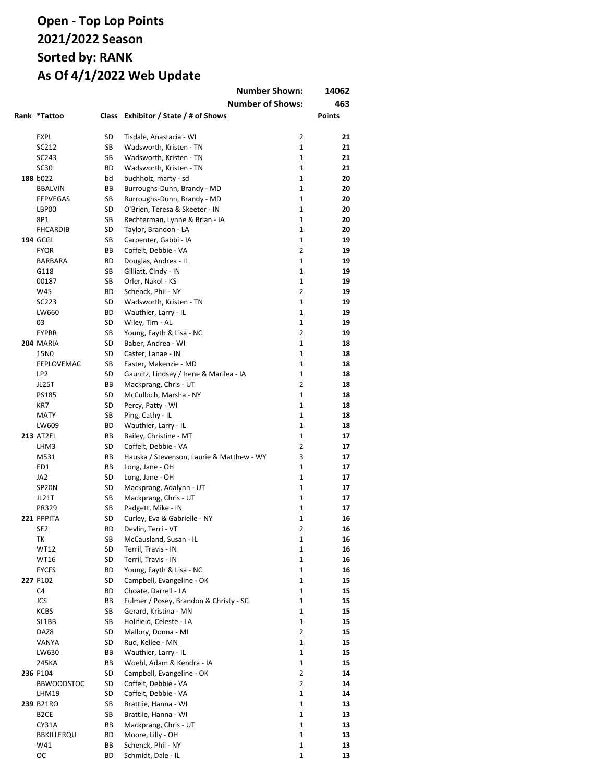|                    |          | <b>Number Shown:</b>                           |                   | 14062         |
|--------------------|----------|------------------------------------------------|-------------------|---------------|
|                    |          | <b>Number of Shows:</b>                        |                   | 463           |
| Rank *Tattoo       |          | Class Exhibitor / State / # of Shows           |                   | <b>Points</b> |
|                    |          |                                                |                   |               |
| <b>FXPL</b>        | SD       | Tisdale, Anastacia - WI                        | $\overline{2}$    | 21            |
| SC212              | SB       | Wadsworth, Kristen - TN                        | $\mathbf{1}$      | 21            |
| SC243              | SB       | Wadsworth, Kristen - TN                        | $\mathbf{1}$      | 21            |
| SC30               | ВD       | Wadsworth, Kristen - TN                        | $\mathbf{1}$      | 21            |
| 188 b022           | bd       | buchholz, marty - sd                           | $\mathbf{1}$      | 20            |
| <b>BBALVIN</b>     | BB       | Burroughs-Dunn, Brandy - MD                    | $\mathbf{1}$      | 20            |
| <b>FEPVEGAS</b>    | SB       | Burroughs-Dunn, Brandy - MD                    | $\mathbf{1}$      | 20            |
| LBP00              | SD       | O'Brien, Teresa & Skeeter - IN                 | $\mathbf{1}$      | 20            |
| 8P1                | SB       | Rechterman, Lynne & Brian - IA                 | $\mathbf{1}$      | 20            |
| <b>FHCARDIB</b>    | SD       | Taylor, Brandon - LA                           | $\mathbf{1}$      | 20            |
| <b>194 GCGL</b>    | SB       | Carpenter, Gabbi - IA                          | $\mathbf{1}$      | 19            |
| <b>FYOR</b>        | BB       | Coffelt, Debbie - VA                           | $\overline{2}$    | 19            |
| BARBARA            | BD       | Douglas, Andrea - IL                           | $\mathbf{1}$      | 19            |
| G118               | SB       | Gilliatt, Cindy - IN                           | $\mathbf{1}$      | 19            |
| 00187              | SB       | Orler, Nakol - KS                              | $\mathbf{1}$      | 19            |
| W45                | BD       | Schenck, Phil - NY                             | $\overline{2}$    | 19            |
| SC223              | SD       | Wadsworth, Kristen - TN                        | $\mathbf{1}$      | 19            |
| LW660              | BD       | Wauthier, Larry - IL                           | $\mathbf{1}$      | 19            |
| 03<br><b>FYPRR</b> | SD       | Wiley, Tim - AL                                | $\mathbf{1}$<br>2 | 19<br>19      |
| 204 MARIA          | SB<br>SD | Young, Fayth & Lisa - NC<br>Baber, Andrea - WI | 1                 | 18            |
| 15N0               | SD       | Caster, Lanae - IN                             | 1                 | 18            |
| FEPLOVEMAC         | SB       | Easter, Makenzie - MD                          | 1                 | 18            |
| LP <sub>2</sub>    | SD       | Gaunitz, Lindsey / Irene & Marilea - IA        | $\mathbf{1}$      | 18            |
| JL25T              | BB       | Mackprang, Chris - UT                          | 2                 | 18            |
| <b>PS185</b>       | SD       | McCulloch, Marsha - NY                         | $\mathbf{1}$      | 18            |
| KR7                | SD       | Percy, Patty - WI                              | $\mathbf{1}$      | 18            |
| <b>MATY</b>        | SB       | Ping, Cathy - IL                               | $\mathbf{1}$      | 18            |
| LW609              | ВD       | Wauthier, Larry - IL                           | $\mathbf{1}$      | 18            |
| <b>213 AT2EL</b>   | ВB       | Bailey, Christine - MT                         | $\mathbf{1}$      | 17            |
| LHM3               | SD       | Coffelt, Debbie - VA                           | $\overline{2}$    | 17            |
| M531               | BB       | Hauska / Stevenson, Laurie & Matthew - WY      | 3                 | 17            |
| ED1                | ВB       | Long, Jane - OH                                | $\mathbf{1}$      | 17            |
| JA <sub>2</sub>    | SD       | Long, Jane - OH                                | $\mathbf{1}$      | 17            |
| SP <sub>2</sub> 0N | SD       | Mackprang, Adalynn - UT                        | $\mathbf{1}$      | 17            |
| JL21T              | SB       | Mackprang, Chris - UT                          | $\mathbf{1}$      | 17            |
| PR329              | SB       | Padgett, Mike - IN                             | $\mathbf{1}$      | 17            |
| 221 PPPITA         | SD       | Curley, Eva & Gabrielle - NY                   | 1                 | 16            |
| SE <sub>2</sub>    | ВD       | Devlin, Terri - VT                             | 2                 | 16            |
| ТK                 | SB       | McCausland, Susan - IL                         | 1                 | 16            |
| <b>WT12</b>        | SD       | Terril, Travis - IN                            | 1                 | 16            |
| WT16               | SD       | Terril, Travis - IN                            | 1                 | 16            |
| <b>FYCFS</b>       | BD       | Young, Fayth & Lisa - NC                       | 1                 | 16            |
| 227 P102           | SD       | Campbell, Evangeline - OK                      | 1                 | 15            |
| C4                 | ВD       | Choate, Darrell - LA                           | 1                 | 15            |
| JCS                | ВB       | Fulmer / Posey, Brandon & Christy - SC         | 1                 | 15            |
| KCBS               | SB       | Gerard, Kristina - MN                          | $\mathbf 1$       | 15            |
| SL1BB              | SB       | Holifield, Celeste - LA                        | 1                 | 15            |
| DAZ8               | SD       | Mallory, Donna - MI                            | 2                 | 15            |
| VANYA              | SD       | Rud, Kellee - MN                               | 1                 | 15            |
| LW630              | ВB       | Wauthier, Larry - IL                           | $\mathbf 1$       | 15            |
| 245KA              | ВB       | Woehl, Adam & Kendra - IA                      | 1                 | 15            |
| 236 P104           | SD       | Campbell, Evangeline - OK                      | 2                 | 14            |
| <b>BBWOODSTOC</b>  | SD       | Coffelt, Debbie - VA                           | $\overline{2}$    | 14            |
| LHM19              | SD       | Coffelt, Debbie - VA                           | 1                 | 14            |
| 239 B21RO          | SB       | Brattlie, Hanna - WI                           | 1                 | 13            |
| B <sub>2</sub> CE  | SB       | Brattlie, Hanna - WI                           | 1                 | 13            |
| CY31A              | ВB<br>BD | Mackprang, Chris - UT<br>Moore, Lilly - OH     | 1<br>1            | 13<br>13      |
| BBKILLERQU<br>W41  | ВB       | Schenck, Phil - NY                             | $\mathbf 1$       | 13            |
| OC                 | ВD       | Schmidt, Dale - IL                             | 1                 | 13            |
|                    |          |                                                |                   |               |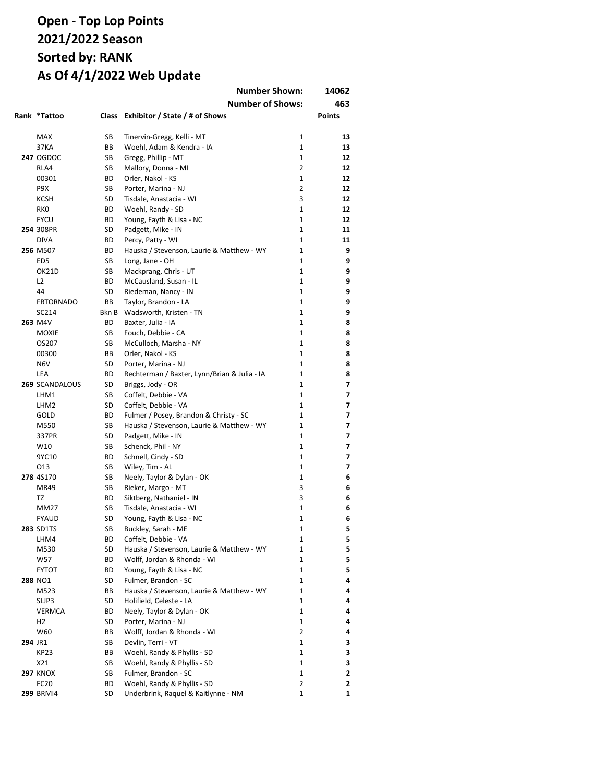|         |                  |           | <b>Number Shown:</b>                         |                | 14062         |
|---------|------------------|-----------|----------------------------------------------|----------------|---------------|
|         |                  |           | <b>Number of Shows:</b>                      |                | 463           |
|         | Rank *Tattoo     |           | Class Exhibitor / State / # of Shows         |                | <b>Points</b> |
|         | <b>MAX</b>       | SB        | Tinervin-Gregg, Kelli - MT                   | 1              | 13            |
|         | 37KA             | ВB        | Woehl, Adam & Kendra - IA                    | $\mathbf{1}$   | 13            |
|         | <b>247 OGDOC</b> | SB        | Gregg, Phillip - MT                          | $\mathbf{1}$   | 12            |
|         | RLA4             | SB        | Mallory, Donna - MI                          | 2              | 12            |
|         | 00301            | ВD        | Orler, Nakol - KS                            | $\mathbf{1}$   | 12            |
|         | P9X              | SB        | Porter, Marina - NJ                          | $\overline{2}$ | 12            |
|         | <b>KCSH</b>      | SD        | Tisdale, Anastacia - WI                      | 3              | 12            |
|         | <b>RKO</b>       | <b>BD</b> | Woehl, Randy - SD                            | $\mathbf{1}$   | 12            |
|         | <b>FYCU</b>      | BD        | Young, Fayth & Lisa - NC                     | $\mathbf{1}$   | 12            |
|         | 254 308PR        | SD        | Padgett, Mike - IN                           | $\mathbf{1}$   | 11            |
|         | <b>DIVA</b>      | ВD        | Percy, Patty - WI                            | $\mathbf{1}$   | 11            |
|         | 256 M507         | BD        | Hauska / Stevenson, Laurie & Matthew - WY    | $\mathbf{1}$   | 9             |
|         | ED <sub>5</sub>  | SB        | Long, Jane - OH                              | $\mathbf{1}$   | 9             |
|         | OK21D            | SB        | Mackprang, Chris - UT                        | $\mathbf{1}$   | 9             |
|         | L <sub>2</sub>   | BD        | McCausland, Susan - IL                       | 1              | 9             |
|         | 44               | SD        | Riedeman, Nancy - IN                         | 1              | 9             |
|         | <b>FRTORNADO</b> | ВB        | Taylor, Brandon - LA                         | $\mathbf{1}$   | 9             |
|         | SC214            | Bkn B     | Wadsworth, Kristen - TN                      | $\mathbf{1}$   | 9             |
|         | 263 M4V          | ВD        | Baxter, Julia - IA                           | $\mathbf{1}$   | 8             |
|         | <b>MOXIE</b>     | SB        | Fouch, Debbie - CA                           | 1              | 8             |
|         | OS207            | SB        | McCulloch, Marsha - NY                       | 1              | 8             |
|         | 00300            | ВB        | Orler, Nakol - KS                            | 1              | 8             |
|         | N <sub>6</sub> V | SD        | Porter, Marina - NJ                          | 1              | 8             |
|         | LEA              | ВD        | Rechterman / Baxter, Lynn/Brian & Julia - IA | 1              | 8             |
|         | 269 SCANDALOUS   | SD        | Briggs, Jody - OR                            | 1              | 7             |
|         | LHM1             | SB        | Coffelt, Debbie - VA                         | $\mathbf{1}$   | 7             |
|         | LHM <sub>2</sub> | SD        | Coffelt, Debbie - VA                         | $\mathbf{1}$   | 7             |
|         | GOLD             | BD        | Fulmer / Posey, Brandon & Christy - SC       | 1              | 7             |
|         | M550             | SB        | Hauska / Stevenson, Laurie & Matthew - WY    | $\mathbf{1}$   | 7             |
|         | 337PR            | SD        | Padgett, Mike - IN                           | $\mathbf{1}$   | 7             |
|         | W10              | SB        | Schenck, Phil - NY                           | $\mathbf{1}$   | 7             |
|         | 9YC10            | BD        | Schnell, Cindy - SD                          | $\mathbf{1}$   | 7             |
|         | 013              | SB        | Wiley, Tim - AL                              | $\mathbf{1}$   | 7             |
|         | 278 4S170        | SB        | Neely, Taylor & Dylan - OK                   | 1              | 6             |
|         | <b>MR49</b>      | SB        | Rieker, Margo - MT                           | 3              | 6             |
|         | <b>TZ</b>        | BD        | Siktberg, Nathaniel - IN                     | 3              | 6             |
|         | MM27             | SB        | Tisdale, Anastacia - WI                      | 1              | 6             |
|         | <b>FYAUD</b>     | SD        | Young, Fayth & Lisa - NC                     | 1              | 6             |
|         | 283 SD1TS        | SB        | Buckley, Sarah - ME                          | 1              | 5             |
|         | LHM4             | ВD        | Coffelt, Debbie - VA                         | 1              | 5             |
|         | M530             | SD        | Hauska / Stevenson, Laurie & Matthew - WY    | 1              | 5             |
|         | W57              | BD        | Wolff, Jordan & Rhonda - WI                  | 1              | 5             |
|         | <b>FYTOT</b>     | BD        | Young, Fayth & Lisa - NC                     | 1              | 5             |
|         | 288 NO1          | SD        | Fulmer, Brandon - SC                         | 1              | 4             |
|         | M523             | ВB        | Hauska / Stevenson, Laurie & Matthew - WY    | 1              | 4             |
|         | SLJP3            | SD        | Holifield, Celeste - LA                      | 1              | 4             |
|         | <b>VERMCA</b>    | ВD        | Neely, Taylor & Dylan - OK                   | 1              | 4             |
|         | H <sub>2</sub>   | SD        | Porter, Marina - NJ                          | 1              | 4             |
|         | W60              | ВB        | Wolff, Jordan & Rhonda - WI                  | 2              | 4             |
| 294 JR1 |                  | SB        | Devlin, Terri - VT                           | 1              | 3             |
|         | KP23             | ВB        | Woehl, Randy & Phyllis - SD                  | 1              | 3             |
|         | X21              | SB        | Woehl, Randy & Phyllis - SD                  | 1              | 3             |
|         | <b>297 KNOX</b>  | SB        | Fulmer, Brandon - SC                         | 1              | 2             |
|         | FC20             | ВD        | Woehl, Randy & Phyllis - SD                  | 2              | 2             |
|         | <b>299 BRMI4</b> | SD        | Underbrink, Raquel & Kaitlynne - NM          | 1              | 1             |
|         |                  |           |                                              |                |               |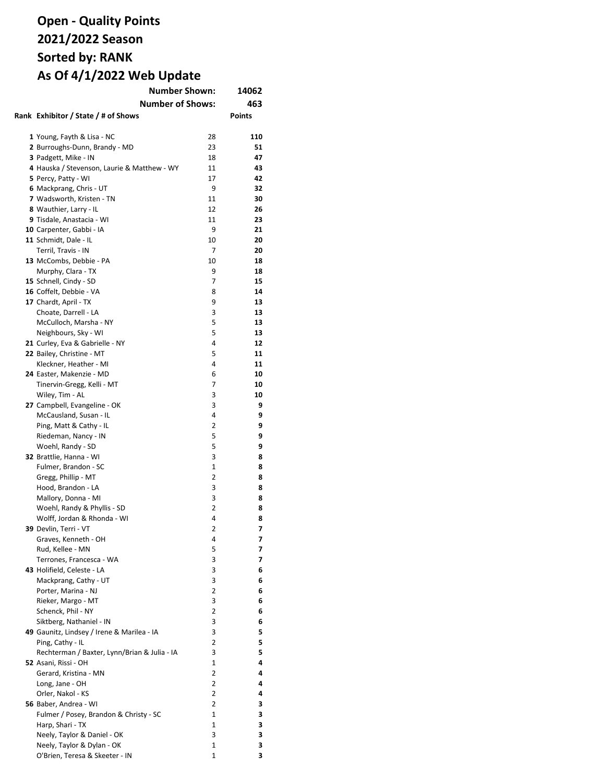| <b>Number Shown:</b>                         | 14062          |               |
|----------------------------------------------|----------------|---------------|
| <b>Number of Shows:</b>                      |                | 463           |
| Rank Exhibitor / State / # of Shows          |                | <b>Points</b> |
|                                              |                |               |
| 1 Young, Fayth & Lisa - NC                   | 28             | 110           |
| 2 Burroughs-Dunn, Brandy - MD                | 23             | 51            |
| 3 Padgett, Mike - IN                         | 18             | 47            |
| 4 Hauska / Stevenson, Laurie & Matthew - WY  | 11             | 43            |
| 5 Percy, Patty - WI                          | 17             | 42            |
| 6 Mackprang, Chris - UT                      | 9              | 32            |
| 7 Wadsworth, Kristen - TN                    | 11             | 30            |
| 8 Wauthier, Larry - IL                       | 12             | 26            |
| 9 Tisdale, Anastacia - WI                    | 11             | 23            |
| 10 Carpenter, Gabbi - IA                     | 9              | 21            |
| 11 Schmidt, Dale - IL                        | 10             | 20            |
| Terril, Travis - IN                          | 7              | 20            |
| 13 McCombs, Debbie - PA                      | 10             | 18            |
| Murphy, Clara - TX                           | 9              | 18            |
| 15 Schnell, Cindy - SD                       | 7              | 15            |
| 16 Coffelt, Debbie - VA                      | 8              | 14            |
| 17 Chardt, April - TX                        | 9              | 13            |
| Choate, Darrell - LA                         | 3              | 13            |
| McCulloch, Marsha - NY                       | 5              | 13            |
| Neighbours, Sky - WI                         | 5              | 13            |
| 21 Curley, Eva & Gabrielle - NY              | 4              | 12            |
| 22 Bailey, Christine - MT                    | 5              | 11            |
| Kleckner, Heather - MI                       | 4              | 11            |
| 24 Easter, Makenzie - MD                     | 6              | 10            |
| Tinervin-Gregg, Kelli - MT                   | 7              | 10            |
| Wiley, Tim - AL                              | 3              | 10            |
| 27 Campbell, Evangeline - OK                 | 3              | 9             |
| McCausland, Susan - IL                       | 4              | 9             |
| Ping, Matt & Cathy - IL                      | 2              | 9             |
| Riedeman, Nancy - IN                         | 5              | 9             |
| Woehl, Randy - SD                            | 5              | 9             |
| 32 Brattlie, Hanna - WI                      | 3              | 8             |
| Fulmer, Brandon - SC                         | $\mathbf{1}$   | 8             |
| Gregg, Phillip - MT                          | 2              | 8             |
| Hood, Brandon - LA                           | 3              | 8             |
| Mallory, Donna - MI                          | 3              | 8             |
| Woehl, Randy & Phyllis - SD                  | 2              | 8             |
| Wolff, Jordan & Rhonda - WI                  | 4              | 8             |
| 39 Devlin, Terri - VT                        | 2              | 7             |
| Graves, Kenneth - OH                         | 4              | 7             |
| Rud, Kellee - MN<br>Terrones, Francesca - WA | 5              | 7<br>7        |
| 43 Holifield, Celeste - LA                   | 3<br>3         |               |
| Mackprang, Cathy - UT                        | 3              | 6<br>6        |
| Porter, Marina - NJ                          | $\overline{2}$ | 6             |
| Rieker, Margo - MT                           | 3              | 6             |
| Schenck, Phil - NY                           | 2              | 6             |
| Siktberg, Nathaniel - IN                     | 3              | 6             |
| 49 Gaunitz, Lindsey / Irene & Marilea - IA   | 3              | 5             |
| Ping, Cathy - IL                             | 2              | 5             |
| Rechterman / Baxter, Lynn/Brian & Julia - IA | 3              | 5             |
| 52 Asani, Rissi - OH                         | $\mathbf{1}$   | 4             |
| Gerard, Kristina - MN                        | $\overline{2}$ | 4             |
| Long, Jane - OH                              | $\overline{2}$ | 4             |
| Orler, Nakol - KS                            | 2              | 4             |
| 56 Baber, Andrea - WI                        | $\overline{2}$ | 3             |
| Fulmer / Posey, Brandon & Christy - SC       | $\mathbf{1}$   | 3             |
| Harp, Shari - TX                             | $\mathbf{1}$   | 3             |
| Neely, Taylor & Daniel - OK                  | 3              | 3             |
| Neely, Taylor & Dylan - OK                   | 1              | 3             |
| O'Brien, Teresa & Skeeter - IN               | 1              | 3             |